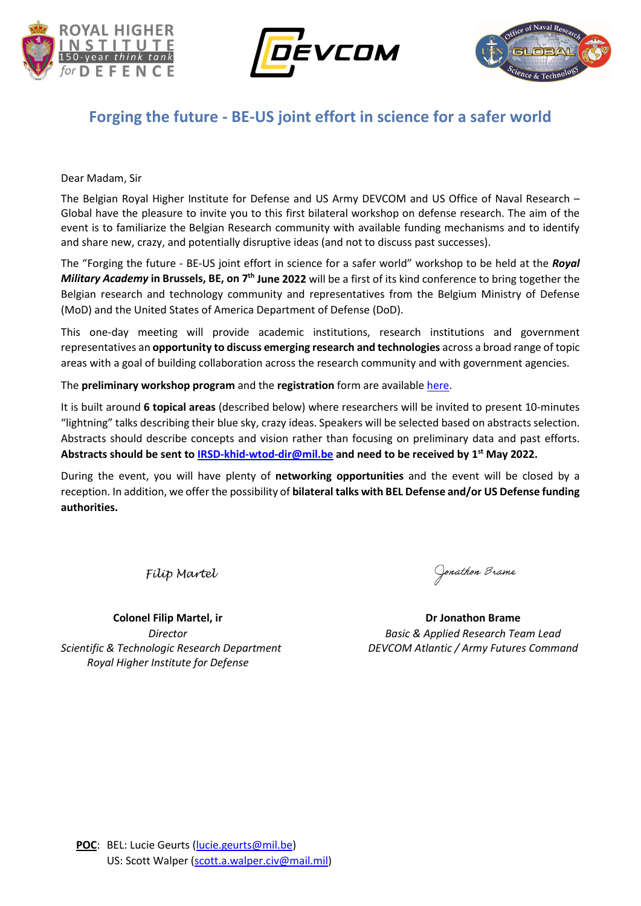





## **Forging the future - BE-US joint effort in science for a safer world**

Dear Madam, Sir

The Belgian Royal Higher Institute for Defense and US Army DEVCOM and US Office of Naval Research – Global have the pleasure to invite you to this first bilateral workshop on defense research. The aim of the event is to familiarize the Belgian Research community with available funding mechanisms and to identify and share new, crazy, and potentially disruptive ideas (and not to discuss past successes).

The "Forging the future - BE-US joint effort in science for a safer world" workshop to be held at the *Royal Military Academy* **in Brussels, BE, on 7th June 2022** will be a first of its kind conference to bring together the Belgian research and technology community and representatives from the Belgium Ministry of Defense (MoD) and the United States of America Department of Defense (DoD).

This one-day meeting will provide academic institutions, research institutions and government representatives an **opportunity to discuss emerging research and technologies** across a broad range of topic areas with a goal of building collaboration across the research community and with government agencies.

The **preliminary workshop program** and the **registration** form are availabl[e here.](https://www.defence-institute.be/en/events/workshop-2022-06-07/)

It is built around **6 topical areas** (described below) where researchers will be invited to present 10-minutes "lightning" talks describing their blue sky, crazy ideas. Speakers will be selected based on abstracts selection. Abstracts should describe concepts and vision rather than focusing on preliminary data and past efforts. **Abstracts should be sent t[o IRSD-khid-wtod-dir@mil.be](mailto:IRSD-khid-wtod-dir@mil.be) and need to be received by 1st May 2022.**

During the event, you will have plenty of **networking opportunities** and the event will be closed by a reception. In addition, we offer the possibility of **bilateral talks with BEL Defense and/or US Defense funding authorities.**

*Filip Martel*

Jonathon Brame

**Colonel Filip Martel, ir Dr Jonathon Brame** *Director Basic & Applied Research Team Lead*

*Scientific & Technologic Research Department DEVCOM Atlantic / Army Futures Command Royal Higher Institute for Defense*